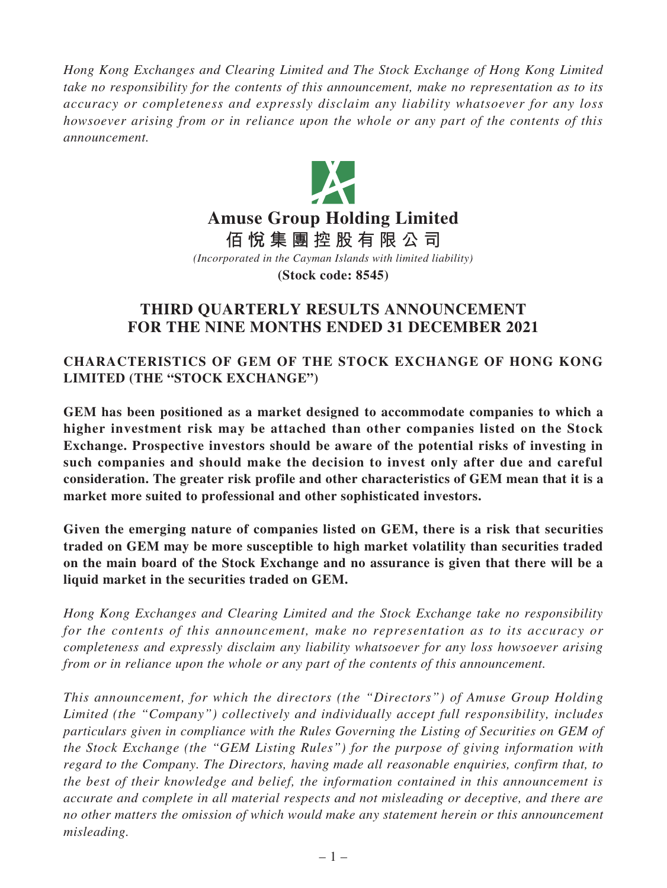*Hong Kong Exchanges and Clearing Limited and The Stock Exchange of Hong Kong Limited take no responsibility for the contents of this announcement, make no representation as to its accuracy or completeness and expressly disclaim any liability whatsoever for any loss howsoever arising from or in reliance upon the whole or any part of the contents of this announcement.*



*(Incorporated in the Cayman Islands with limited liability)* **(Stock code: 8545)**

# **THIRD QUARTERLY RESULTS ANNOUNCEMENT FOR THE NINE MONTHS ENDED 31 DECEMBER 2021**

**CHARACTERISTICS OF GEM OF THE STOCK EXCHANGE OF HONG KONG LIMITED (THE "STOCK EXCHANGE")**

**GEM has been positioned as a market designed to accommodate companies to which a higher investment risk may be attached than other companies listed on the Stock Exchange. Prospective investors should be aware of the potential risks of investing in such companies and should make the decision to invest only after due and careful consideration. The greater risk profile and other characteristics of GEM mean that it is a market more suited to professional and other sophisticated investors.**

**Given the emerging nature of companies listed on GEM, there is a risk that securities traded on GEM may be more susceptible to high market volatility than securities traded on the main board of the Stock Exchange and no assurance is given that there will be a liquid market in the securities traded on GEM.**

*Hong Kong Exchanges and Clearing Limited and the Stock Exchange take no responsibility for the contents of this announcement, make no representation as to its accuracy or completeness and expressly disclaim any liability whatsoever for any loss howsoever arising from or in reliance upon the whole or any part of the contents of this announcement.*

*This announcement, for which the directors (the "Directors") of Amuse Group Holding Limited (the "Company") collectively and individually accept full responsibility, includes particulars given in compliance with the Rules Governing the Listing of Securities on GEM of the Stock Exchange (the "GEM Listing Rules") for the purpose of giving information with regard to the Company. The Directors, having made all reasonable enquiries, confirm that, to the best of their knowledge and belief, the information contained in this announcement is accurate and complete in all material respects and not misleading or deceptive, and there are no other matters the omission of which would make any statement herein or this announcement misleading.*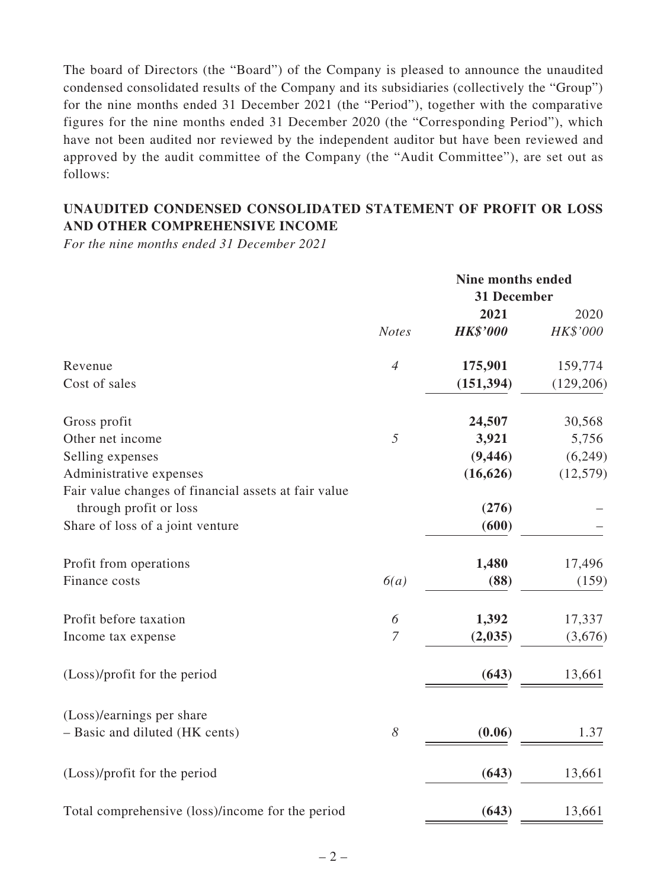The board of Directors (the "Board") of the Company is pleased to announce the unaudited condensed consolidated results of the Company and its subsidiaries (collectively the "Group") for the nine months ended 31 December 2021 (the "Period"), together with the comparative figures for the nine months ended 31 December 2020 (the "Corresponding Period"), which have not been audited nor reviewed by the independent auditor but have been reviewed and approved by the audit committee of the Company (the "Audit Committee"), are set out as follows:

# **UNAUDITED CONDENSED CONSOLIDATED STATEMENT OF PROFIT OR LOSS AND OTHER COMPREHENSIVE INCOME**

*For the nine months ended 31 December 2021*

|                                                      |                       | <b>Nine months ended</b><br>31 December |            |
|------------------------------------------------------|-----------------------|-----------------------------------------|------------|
|                                                      |                       | 2021                                    | 2020       |
|                                                      | <b>Notes</b>          | <b>HK\$'000</b>                         | HK\$'000   |
| Revenue                                              | $\overline{4}$        | 175,901                                 | 159,774    |
| Cost of sales                                        |                       | (151, 394)                              | (129, 206) |
| Gross profit                                         |                       | 24,507                                  | 30,568     |
| Other net income                                     | 5                     | 3,921                                   | 5,756      |
| Selling expenses                                     |                       | (9, 446)                                | (6,249)    |
| Administrative expenses                              |                       | (16, 626)                               | (12, 579)  |
| Fair value changes of financial assets at fair value |                       |                                         |            |
| through profit or loss                               |                       | (276)                                   |            |
| Share of loss of a joint venture                     |                       | (600)                                   |            |
| Profit from operations                               |                       | 1,480                                   | 17,496     |
| Finance costs                                        | 6(a)                  | (88)                                    | (159)      |
| Profit before taxation                               | 6                     | 1,392                                   | 17,337     |
| Income tax expense                                   | $\boldsymbol{7}$      | (2,035)                                 | (3,676)    |
| (Loss)/profit for the period                         |                       | (643)                                   | 13,661     |
| (Loss)/earnings per share                            |                       |                                         |            |
| - Basic and diluted (HK cents)                       | $\boldsymbol{\delta}$ | (0.06)                                  | 1.37       |
| (Loss)/profit for the period                         |                       | (643)                                   | 13,661     |
| Total comprehensive (loss)/income for the period     |                       | (643)                                   | 13,661     |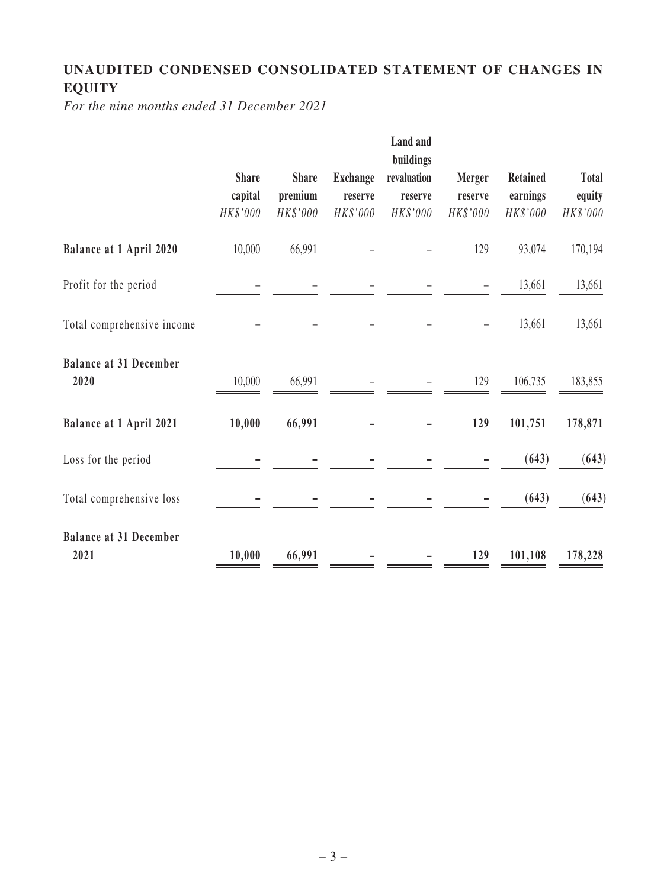# **UNAUDITED CONDENSED CONSOLIDATED STATEMENT OF CHANGES IN EQUITY**

*For the nine months ended 31 December 2021*

|                                       | <b>Share</b><br>capital<br>HK\$'000 | <b>Share</b><br>premium<br>HK\$'000 | <b>Exchange</b><br>reserve<br>HK\$'000 | Land and<br>buildings<br>revaluation<br>reserve<br>HK\$'000 | <b>Merger</b><br>reserve<br>HK\$'000 | <b>Retained</b><br>earnings<br>HK\$'000 | <b>Total</b><br>equity<br>HK\$'000 |
|---------------------------------------|-------------------------------------|-------------------------------------|----------------------------------------|-------------------------------------------------------------|--------------------------------------|-----------------------------------------|------------------------------------|
| <b>Balance at 1 April 2020</b>        | 10,000                              | 66,991                              |                                        |                                                             | 129                                  | 93,074                                  | 170,194                            |
| Profit for the period                 |                                     |                                     |                                        |                                                             |                                      | 13,661                                  | 13,661                             |
| Total comprehensive income            |                                     |                                     |                                        |                                                             |                                      | 13,661                                  | 13,661                             |
| <b>Balance at 31 December</b><br>2020 | 10,000                              | 66,991                              |                                        |                                                             | 129                                  | 106,735                                 | 183,855                            |
| Balance at 1 April 2021               | 10,000                              | 66,991                              |                                        |                                                             | 129                                  | 101,751                                 | 178,871                            |
| Loss for the period                   |                                     |                                     |                                        |                                                             |                                      | (643)                                   | (643)                              |
| Total comprehensive loss              |                                     |                                     |                                        |                                                             |                                      | (643)                                   | (643)                              |
| <b>Balance at 31 December</b><br>2021 | 10,000                              | 66,991                              |                                        |                                                             | 129                                  | 101,108                                 | 178,228                            |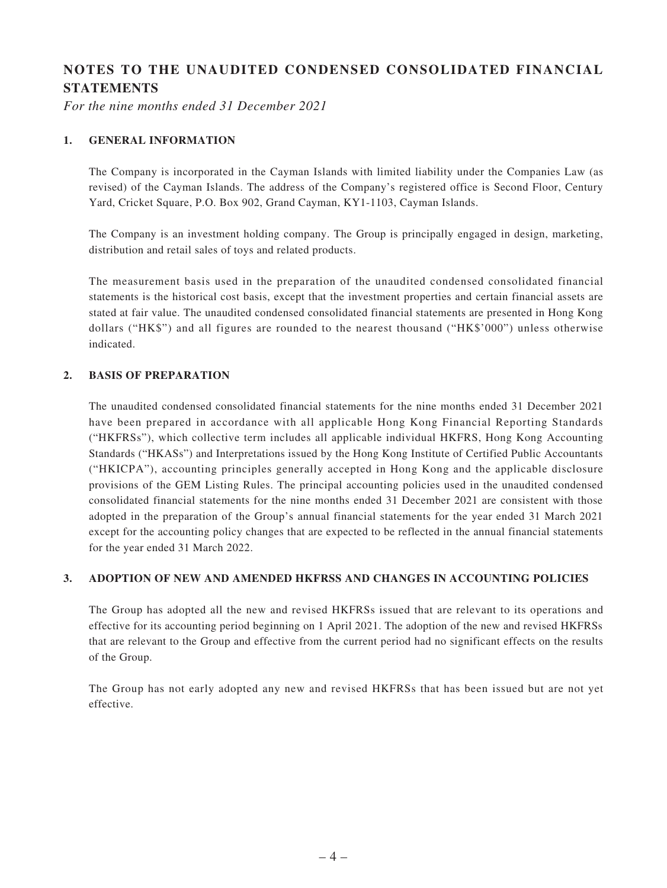# **NOTES TO THE UNAUDITED CONDENSED CONSOLIDATED FINANCIAL STATEMENTS**

*For the nine months ended 31 December 2021*

#### **1. GENERAL INFORMATION**

The Company is incorporated in the Cayman Islands with limited liability under the Companies Law (as revised) of the Cayman Islands. The address of the Company's registered office is Second Floor, Century Yard, Cricket Square, P.O. Box 902, Grand Cayman, KY1-1103, Cayman Islands.

The Company is an investment holding company. The Group is principally engaged in design, marketing, distribution and retail sales of toys and related products.

The measurement basis used in the preparation of the unaudited condensed consolidated financial statements is the historical cost basis, except that the investment properties and certain financial assets are stated at fair value. The unaudited condensed consolidated financial statements are presented in Hong Kong dollars ("HK\$") and all figures are rounded to the nearest thousand ("HK\$'000") unless otherwise indicated.

#### **2. BASIS OF PREPARATION**

The unaudited condensed consolidated financial statements for the nine months ended 31 December 2021 have been prepared in accordance with all applicable Hong Kong Financial Reporting Standards ("HKFRSs"), which collective term includes all applicable individual HKFRS, Hong Kong Accounting Standards ("HKASs") and Interpretations issued by the Hong Kong Institute of Certified Public Accountants ("HKICPA"), accounting principles generally accepted in Hong Kong and the applicable disclosure provisions of the GEM Listing Rules. The principal accounting policies used in the unaudited condensed consolidated financial statements for the nine months ended 31 December 2021 are consistent with those adopted in the preparation of the Group's annual financial statements for the year ended 31 March 2021 except for the accounting policy changes that are expected to be reflected in the annual financial statements for the year ended 31 March 2022.

#### **3. ADOPTION OF NEW AND AMENDED HKFRSS AND CHANGES IN ACCOUNTING POLICIES**

The Group has adopted all the new and revised HKFRSs issued that are relevant to its operations and effective for its accounting period beginning on 1 April 2021. The adoption of the new and revised HKFRSs that are relevant to the Group and effective from the current period had no significant effects on the results of the Group.

The Group has not early adopted any new and revised HKFRSs that has been issued but are not yet effective.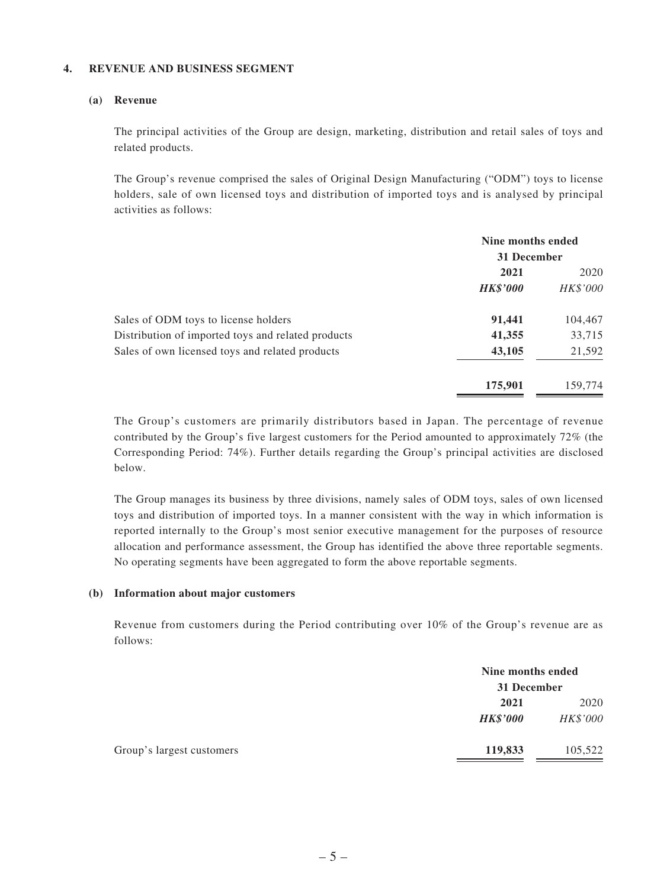#### **4. REVENUE AND BUSINESS SEGMENT**

#### **(a) Revenue**

The principal activities of the Group are design, marketing, distribution and retail sales of toys and related products.

The Group's revenue comprised the sales of Original Design Manufacturing ("ODM") toys to license holders, sale of own licensed toys and distribution of imported toys and is analysed by principal activities as follows:

|                                                    | Nine months ended<br>31 December |          |
|----------------------------------------------------|----------------------------------|----------|
|                                                    | 2021                             | 2020     |
|                                                    | <b>HK\$'000</b>                  | HK\$'000 |
| Sales of ODM toys to license holders               | 91,441                           | 104,467  |
| Distribution of imported toys and related products | 41,355                           | 33,715   |
| Sales of own licensed toys and related products    | 43,105                           | 21,592   |
|                                                    | 175,901                          | 159,774  |

The Group's customers are primarily distributors based in Japan. The percentage of revenue contributed by the Group's five largest customers for the Period amounted to approximately 72% (the Corresponding Period: 74%). Further details regarding the Group's principal activities are disclosed below.

The Group manages its business by three divisions, namely sales of ODM toys, sales of own licensed toys and distribution of imported toys. In a manner consistent with the way in which information is reported internally to the Group's most senior executive management for the purposes of resource allocation and performance assessment, the Group has identified the above three reportable segments. No operating segments have been aggregated to form the above reportable segments.

#### **(b) Information about major customers**

Revenue from customers during the Period contributing over 10% of the Group's revenue are as follows:

|                           |                 | Nine months ended |  |
|---------------------------|-----------------|-------------------|--|
|                           |                 | 31 December       |  |
|                           | 2021            | 2020              |  |
|                           | <b>HK\$'000</b> | HK\$'000          |  |
| Group's largest customers | 119,833         | 105,522           |  |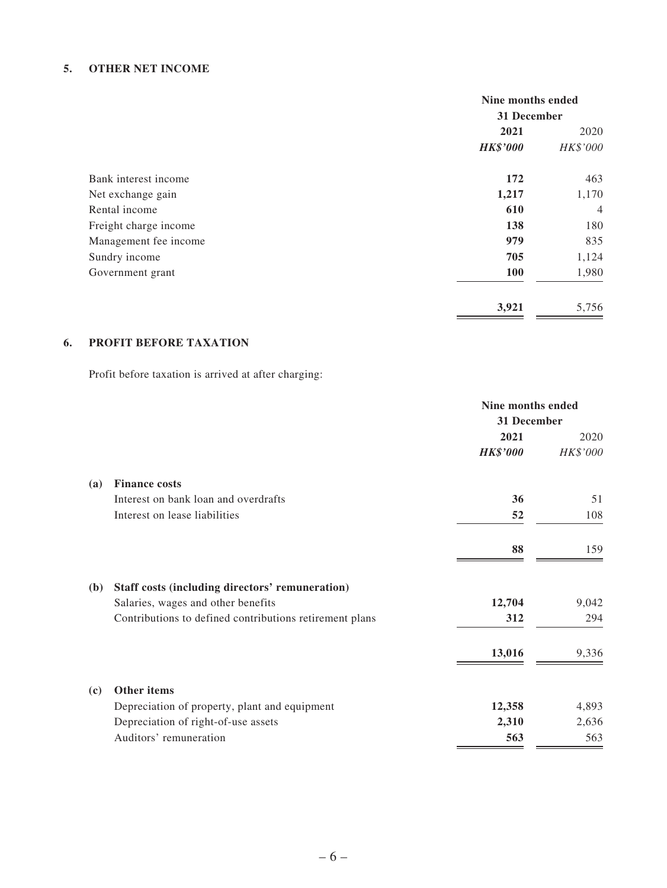#### **5. OTHER NET INCOME**

|                       | Nine months ended |                |
|-----------------------|-------------------|----------------|
|                       | 31 December       |                |
|                       | 2021              | 2020           |
|                       | <b>HK\$'000</b>   | HK\$'000       |
| Bank interest income  | 172               | 463            |
| Net exchange gain     | 1,217             | 1,170          |
| Rental income         | 610               | $\overline{4}$ |
| Freight charge income | 138               | 180            |
| Management fee income | 979               | 835            |
| Sundry income         | 705               | 1,124          |
| Government grant      | 100               | 1,980          |
|                       | 3,921             | 5,756          |

## **6. PROFIT BEFORE TAXATION**

Profit before taxation is arrived at after charging:

|              |                                                         | Nine months ended |          |
|--------------|---------------------------------------------------------|-------------------|----------|
|              |                                                         | 31 December       |          |
|              |                                                         | 2021              | 2020     |
|              |                                                         | <b>HK\$'000</b>   | HK\$'000 |
| <b>(a)</b>   | <b>Finance costs</b>                                    |                   |          |
|              | Interest on bank loan and overdrafts                    | 36                | 51       |
|              | Interest on lease liabilities                           | 52                | 108      |
|              |                                                         | 88                | 159      |
| ( <b>b</b> ) | Staff costs (including directors' remuneration)         |                   |          |
|              | Salaries, wages and other benefits                      | 12,704            | 9,042    |
|              | Contributions to defined contributions retirement plans | 312               | 294      |
|              |                                                         | 13,016            | 9,336    |
| (c)          | Other items                                             |                   |          |
|              | Depreciation of property, plant and equipment           | 12,358            | 4,893    |
|              | Depreciation of right-of-use assets                     | 2,310             | 2,636    |
|              | Auditors' remuneration                                  | 563               | 563      |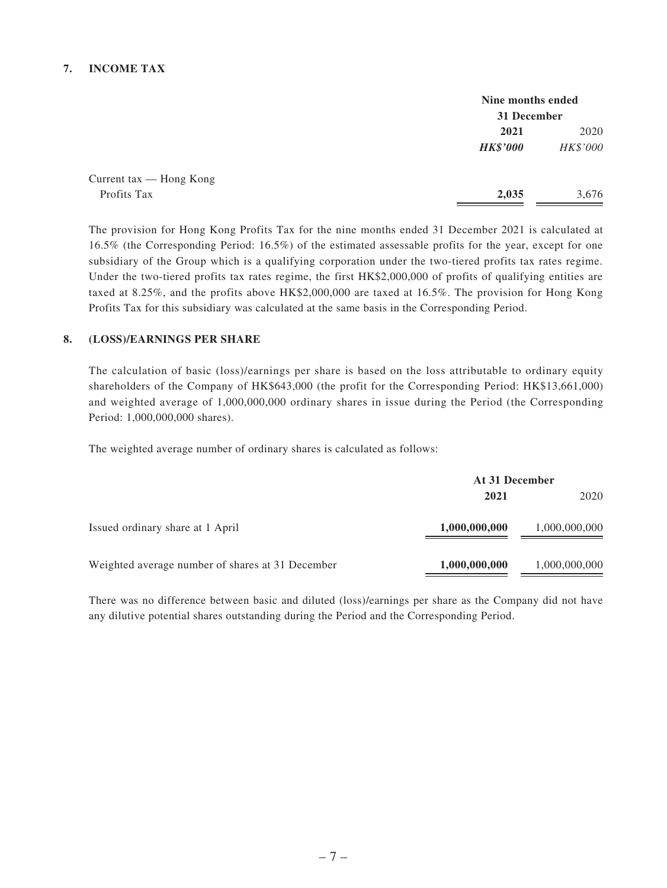#### **7. INCOME TAX**

|                           | Nine months ended<br>31 December |          |
|---------------------------|----------------------------------|----------|
|                           |                                  |          |
|                           | 2021                             | 2020     |
|                           | <b>HK\$'000</b>                  | HK\$'000 |
| Current $tax$ — Hong Kong |                                  |          |
| Profits Tax               | 2,035                            | 3,676    |

The provision for Hong Kong Profits Tax for the nine months ended 31 December 2021 is calculated at 16.5% (the Corresponding Period: 16.5%) of the estimated assessable profits for the year, except for one subsidiary of the Group which is a qualifying corporation under the two-tiered profits tax rates regime. Under the two-tiered profits tax rates regime, the first HK\$2,000,000 of profits of qualifying entities are taxed at 8.25%, and the profits above HK\$2,000,000 are taxed at 16.5%. The provision for Hong Kong Profits Tax for this subsidiary was calculated at the same basis in the Corresponding Period.

#### **8. (LOSS)/EARNINGS PER SHARE**

The calculation of basic (loss)/earnings per share is based on the loss attributable to ordinary equity shareholders of the Company of HK\$643,000 (the profit for the Corresponding Period: HK\$13,661,000) and weighted average of 1,000,000,000 ordinary shares in issue during the Period (the Corresponding Period: 1,000,000,000 shares).

The weighted average number of ordinary shares is calculated as follows:

|                                                  | At 31 December |               |  |
|--------------------------------------------------|----------------|---------------|--|
|                                                  | 2021           | 2020          |  |
| Issued ordinary share at 1 April                 | 1,000,000,000  | 1,000,000,000 |  |
| Weighted average number of shares at 31 December | 1,000,000,000  | 1,000,000,000 |  |

There was no difference between basic and diluted (loss)/earnings per share as the Company did not have any dilutive potential shares outstanding during the Period and the Corresponding Period.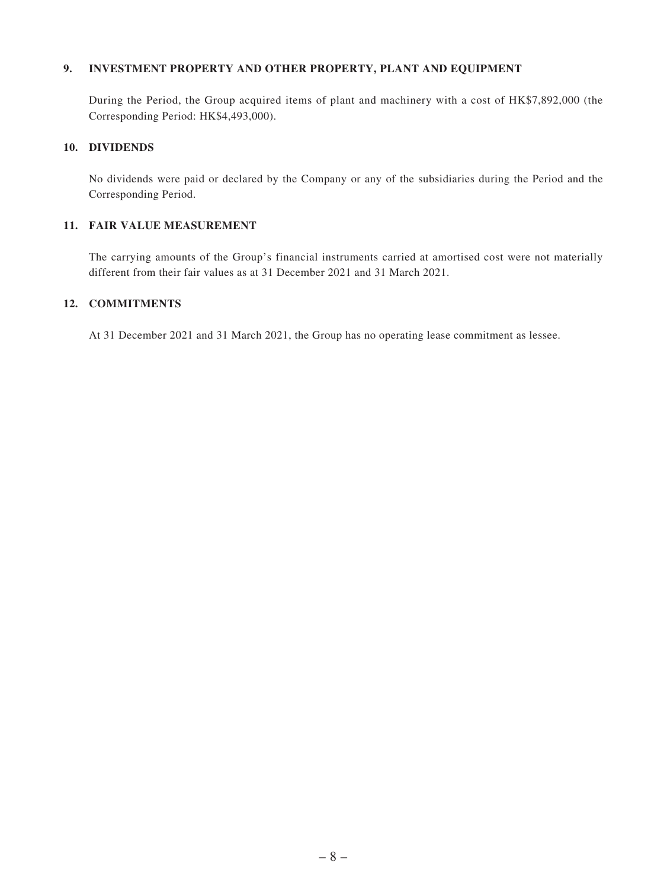#### **9. INVESTMENT PROPERTY AND OTHER PROPERTY, PLANT AND EQUIPMENT**

During the Period, the Group acquired items of plant and machinery with a cost of HK\$7,892,000 (the Corresponding Period: HK\$4,493,000).

#### **10. DIVIDENDS**

No dividends were paid or declared by the Company or any of the subsidiaries during the Period and the Corresponding Period.

#### **11. FAIR VALUE MEASUREMENT**

The carrying amounts of the Group's financial instruments carried at amortised cost were not materially different from their fair values as at 31 December 2021 and 31 March 2021.

#### **12. COMMITMENTS**

At 31 December 2021 and 31 March 2021, the Group has no operating lease commitment as lessee.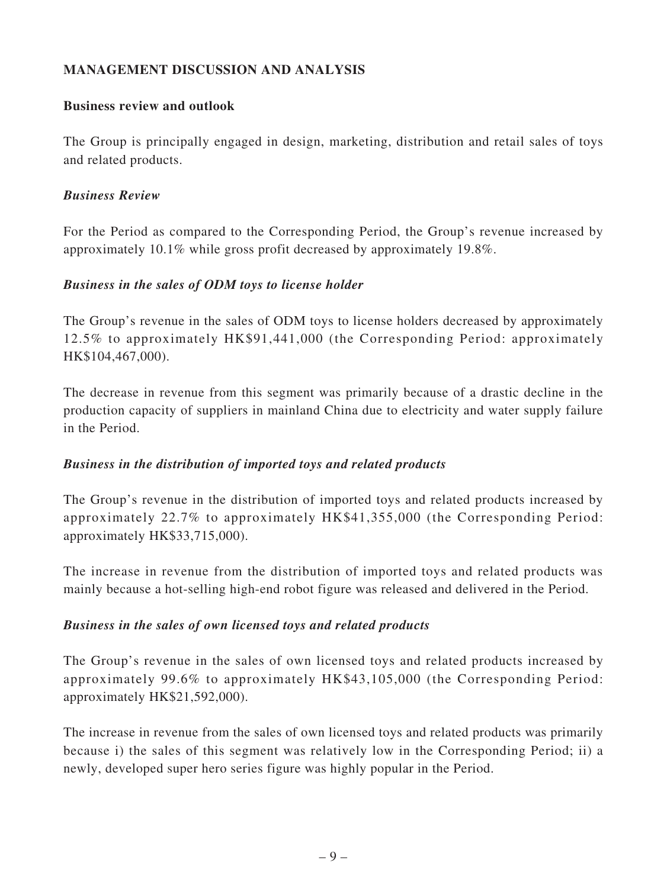# **MANAGEMENT DISCUSSION AND ANALYSIS**

### **Business review and outlook**

The Group is principally engaged in design, marketing, distribution and retail sales of toys and related products.

## *Business Review*

For the Period as compared to the Corresponding Period, the Group's revenue increased by approximately 10.1% while gross profit decreased by approximately 19.8%.

## *Business in the sales of ODM toys to license holder*

The Group's revenue in the sales of ODM toys to license holders decreased by approximately 12.5% to approximately HK\$91,441,000 (the Corresponding Period: approximately HK\$104,467,000).

The decrease in revenue from this segment was primarily because of a drastic decline in the production capacity of suppliers in mainland China due to electricity and water supply failure in the Period.

# *Business in the distribution of imported toys and related products*

The Group's revenue in the distribution of imported toys and related products increased by approximately 22.7% to approximately HK\$41,355,000 (the Corresponding Period: approximately HK\$33,715,000).

The increase in revenue from the distribution of imported toys and related products was mainly because a hot-selling high-end robot figure was released and delivered in the Period.

# *Business in the sales of own licensed toys and related products*

The Group's revenue in the sales of own licensed toys and related products increased by approximately 99.6% to approximately HK\$43,105,000 (the Corresponding Period: approximately HK\$21,592,000).

The increase in revenue from the sales of own licensed toys and related products was primarily because i) the sales of this segment was relatively low in the Corresponding Period; ii) a newly, developed super hero series figure was highly popular in the Period.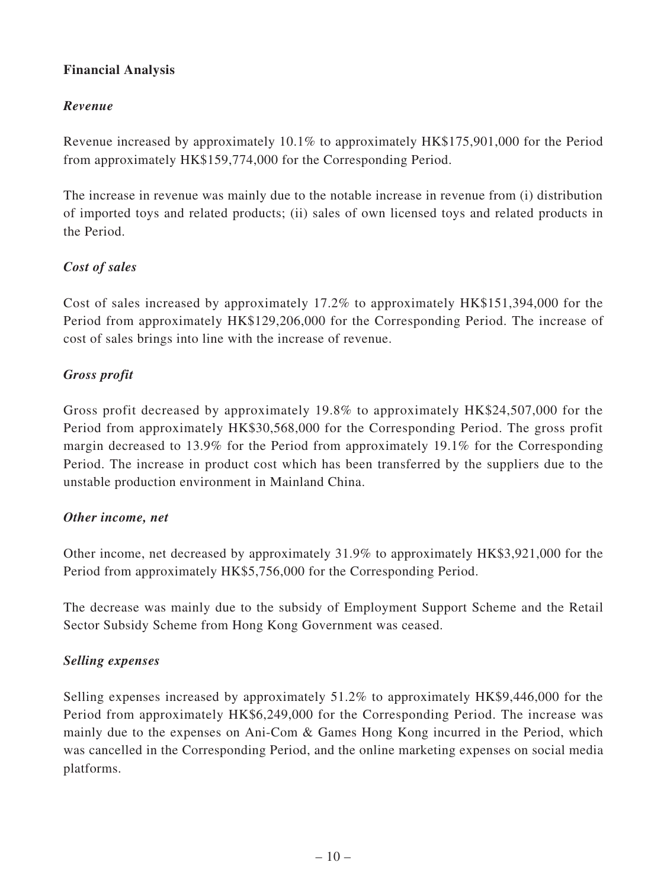# **Financial Analysis**

# *Revenue*

Revenue increased by approximately 10.1% to approximately HK\$175,901,000 for the Period from approximately HK\$159,774,000 for the Corresponding Period.

The increase in revenue was mainly due to the notable increase in revenue from (i) distribution of imported toys and related products; (ii) sales of own licensed toys and related products in the Period.

# *Cost of sales*

Cost of sales increased by approximately 17.2% to approximately HK\$151,394,000 for the Period from approximately HK\$129,206,000 for the Corresponding Period. The increase of cost of sales brings into line with the increase of revenue.

## *Gross profit*

Gross profit decreased by approximately 19.8% to approximately HK\$24,507,000 for the Period from approximately HK\$30,568,000 for the Corresponding Period. The gross profit margin decreased to 13.9% for the Period from approximately 19.1% for the Corresponding Period. The increase in product cost which has been transferred by the suppliers due to the unstable production environment in Mainland China.

### *Other income, net*

Other income, net decreased by approximately 31.9% to approximately HK\$3,921,000 for the Period from approximately HK\$5,756,000 for the Corresponding Period.

The decrease was mainly due to the subsidy of Employment Support Scheme and the Retail Sector Subsidy Scheme from Hong Kong Government was ceased.

### *Selling expenses*

Selling expenses increased by approximately 51.2% to approximately HK\$9,446,000 for the Period from approximately HK\$6,249,000 for the Corresponding Period. The increase was mainly due to the expenses on Ani-Com & Games Hong Kong incurred in the Period, which was cancelled in the Corresponding Period, and the online marketing expenses on social media platforms.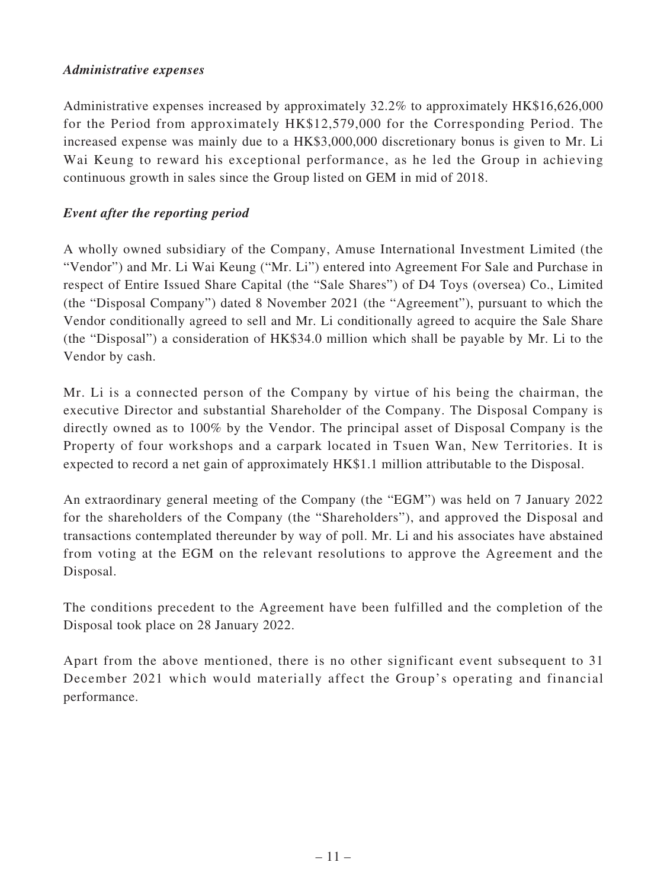### *Administrative expenses*

Administrative expenses increased by approximately 32.2% to approximately HK\$16,626,000 for the Period from approximately HK\$12,579,000 for the Corresponding Period. The increased expense was mainly due to a HK\$3,000,000 discretionary bonus is given to Mr. Li Wai Keung to reward his exceptional performance, as he led the Group in achieving continuous growth in sales since the Group listed on GEM in mid of 2018.

# *Event after the reporting period*

A wholly owned subsidiary of the Company, Amuse International Investment Limited (the "Vendor") and Mr. Li Wai Keung ("Mr. Li") entered into Agreement For Sale and Purchase in respect of Entire Issued Share Capital (the "Sale Shares") of D4 Toys (oversea) Co., Limited (the "Disposal Company") dated 8 November 2021 (the "Agreement"), pursuant to which the Vendor conditionally agreed to sell and Mr. Li conditionally agreed to acquire the Sale Share (the "Disposal") a consideration of HK\$34.0 million which shall be payable by Mr. Li to the Vendor by cash.

Mr. Li is a connected person of the Company by virtue of his being the chairman, the executive Director and substantial Shareholder of the Company. The Disposal Company is directly owned as to 100% by the Vendor. The principal asset of Disposal Company is the Property of four workshops and a carpark located in Tsuen Wan, New Territories. It is expected to record a net gain of approximately HK\$1.1 million attributable to the Disposal.

An extraordinary general meeting of the Company (the "EGM") was held on 7 January 2022 for the shareholders of the Company (the "Shareholders"), and approved the Disposal and transactions contemplated thereunder by way of poll. Mr. Li and his associates have abstained from voting at the EGM on the relevant resolutions to approve the Agreement and the Disposal.

The conditions precedent to the Agreement have been fulfilled and the completion of the Disposal took place on 28 January 2022.

Apart from the above mentioned, there is no other significant event subsequent to 31 December 2021 which would materially affect the Group's operating and financial performance.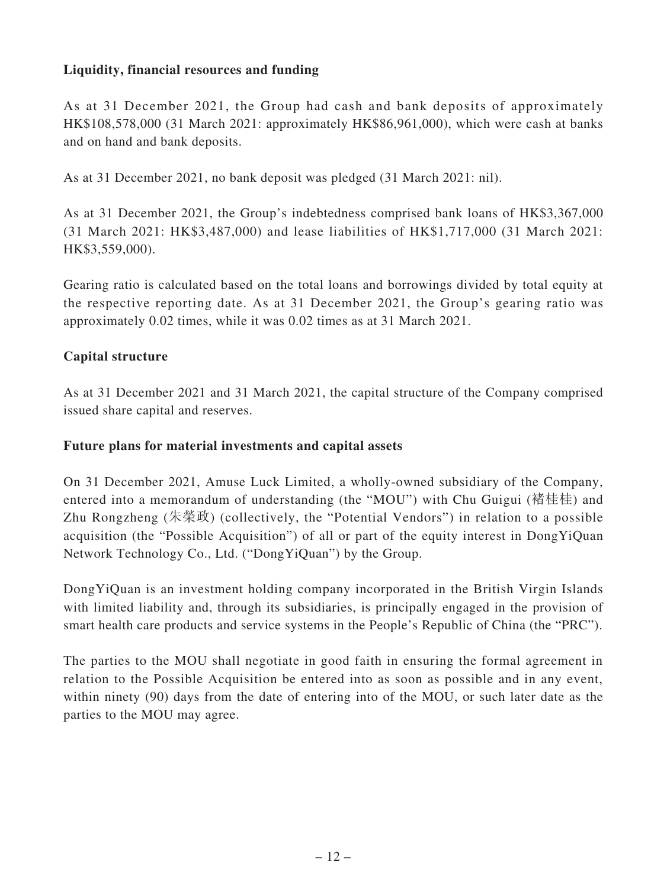## **Liquidity, financial resources and funding**

As at 31 December 2021, the Group had cash and bank deposits of approximately HK\$108,578,000 (31 March 2021: approximately HK\$86,961,000), which were cash at banks and on hand and bank deposits.

As at 31 December 2021, no bank deposit was pledged (31 March 2021: nil).

As at 31 December 2021, the Group's indebtedness comprised bank loans of HK\$3,367,000 (31 March 2021: HK\$3,487,000) and lease liabilities of HK\$1,717,000 (31 March 2021: HK\$3,559,000).

Gearing ratio is calculated based on the total loans and borrowings divided by total equity at the respective reporting date. As at 31 December 2021, the Group's gearing ratio was approximately 0.02 times, while it was 0.02 times as at 31 March 2021.

### **Capital structure**

As at 31 December 2021 and 31 March 2021, the capital structure of the Company comprised issued share capital and reserves.

#### **Future plans for material investments and capital assets**

On 31 December 2021, Amuse Luck Limited, a wholly-owned subsidiary of the Company, entered into a memorandum of understanding (the "MOU") with Chu Guigui (褚桂桂) and Zhu Rongzheng (朱榮政) (collectively, the "Potential Vendors") in relation to a possible acquisition (the "Possible Acquisition") of all or part of the equity interest in DongYiQuan Network Technology Co., Ltd. ("DongYiQuan") by the Group.

DongYiQuan is an investment holding company incorporated in the British Virgin Islands with limited liability and, through its subsidiaries, is principally engaged in the provision of smart health care products and service systems in the People's Republic of China (the "PRC").

The parties to the MOU shall negotiate in good faith in ensuring the formal agreement in relation to the Possible Acquisition be entered into as soon as possible and in any event, within ninety (90) days from the date of entering into of the MOU, or such later date as the parties to the MOU may agree.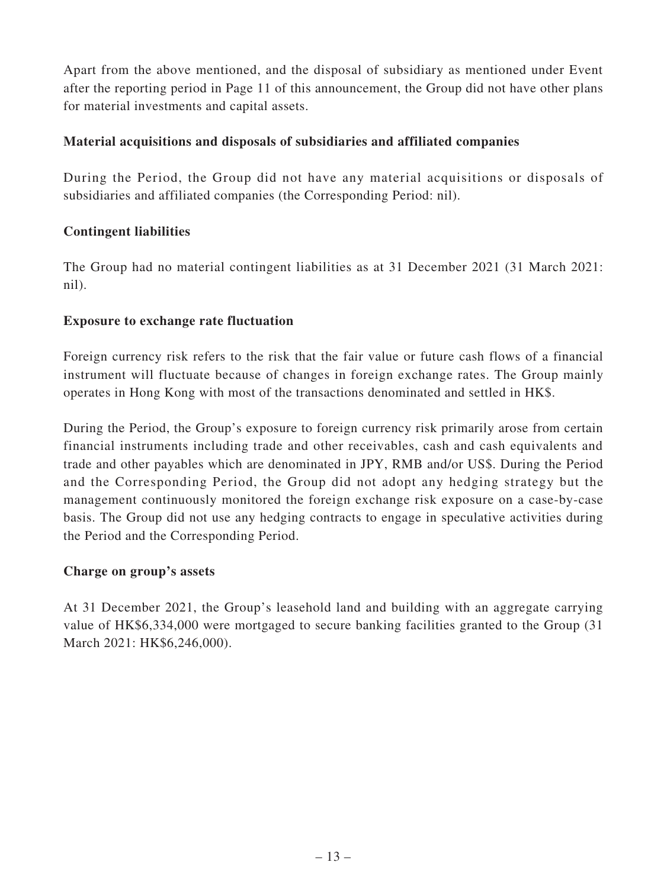Apart from the above mentioned, and the disposal of subsidiary as mentioned under Event after the reporting period in Page 11 of this announcement, the Group did not have other plans for material investments and capital assets.

## **Material acquisitions and disposals of subsidiaries and affiliated companies**

During the Period, the Group did not have any material acquisitions or disposals of subsidiaries and affiliated companies (the Corresponding Period: nil).

## **Contingent liabilities**

The Group had no material contingent liabilities as at 31 December 2021 (31 March 2021: nil).

## **Exposure to exchange rate fluctuation**

Foreign currency risk refers to the risk that the fair value or future cash flows of a financial instrument will fluctuate because of changes in foreign exchange rates. The Group mainly operates in Hong Kong with most of the transactions denominated and settled in HK\$.

During the Period, the Group's exposure to foreign currency risk primarily arose from certain financial instruments including trade and other receivables, cash and cash equivalents and trade and other payables which are denominated in JPY, RMB and/or US\$. During the Period and the Corresponding Period, the Group did not adopt any hedging strategy but the management continuously monitored the foreign exchange risk exposure on a case-by-case basis. The Group did not use any hedging contracts to engage in speculative activities during the Period and the Corresponding Period.

### **Charge on group's assets**

At 31 December 2021, the Group's leasehold land and building with an aggregate carrying value of HK\$6,334,000 were mortgaged to secure banking facilities granted to the Group (31 March 2021: HK\$6,246,000).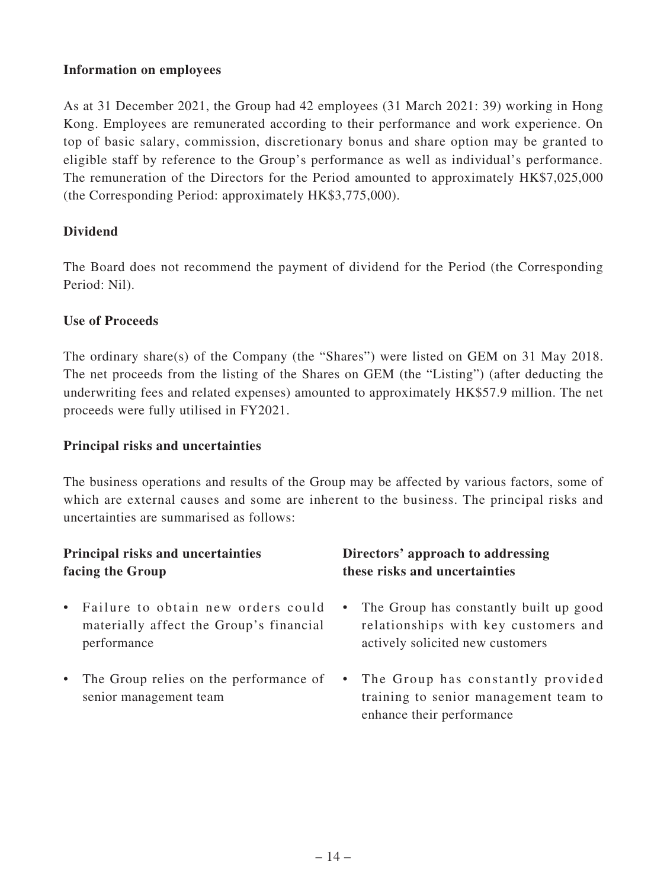### **Information on employees**

As at 31 December 2021, the Group had 42 employees (31 March 2021: 39) working in Hong Kong. Employees are remunerated according to their performance and work experience. On top of basic salary, commission, discretionary bonus and share option may be granted to eligible staff by reference to the Group's performance as well as individual's performance. The remuneration of the Directors for the Period amounted to approximately HK\$7,025,000 (the Corresponding Period: approximately HK\$3,775,000).

## **Dividend**

The Board does not recommend the payment of dividend for the Period (the Corresponding Period: Nil).

### **Use of Proceeds**

The ordinary share(s) of the Company (the "Shares") were listed on GEM on 31 May 2018. The net proceeds from the listing of the Shares on GEM (the "Listing") (after deducting the underwriting fees and related expenses) amounted to approximately HK\$57.9 million. The net proceeds were fully utilised in FY2021.

#### **Principal risks and uncertainties**

The business operations and results of the Group may be affected by various factors, some of which are external causes and some are inherent to the business. The principal risks and uncertainties are summarised as follows:

# **Principal risks and uncertainties facing the Group**

- Failure to obtain new orders could materially affect the Group's financial performance
- The Group relies on the performance of senior management team

# **Directors' approach to addressing these risks and uncertainties**

- The Group has constantly built up good relationships with key customers and actively solicited new customers
- The Group has constantly provided training to senior management team to enhance their performance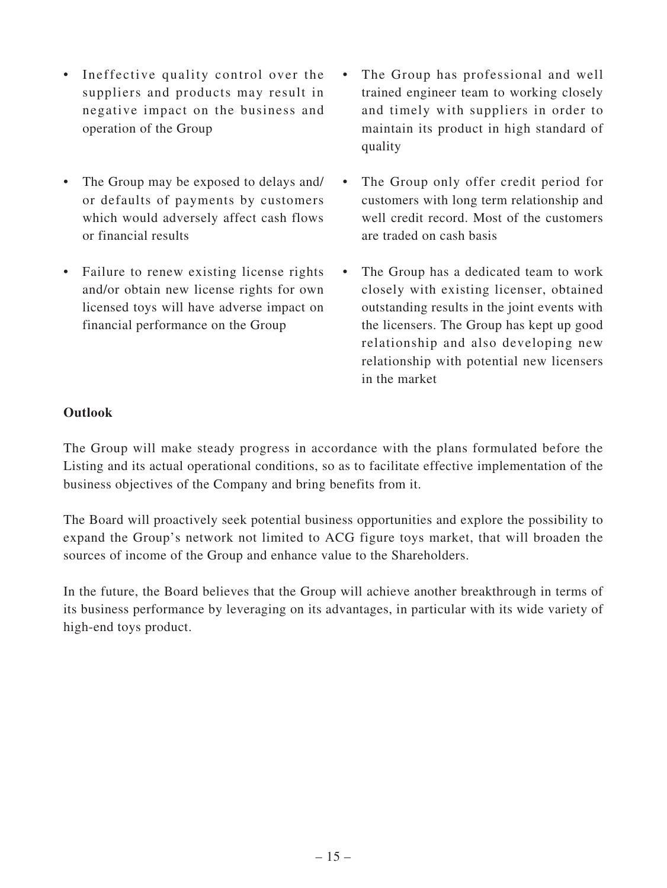- Ineffective quality control over the suppliers and products may result in negative impact on the business and operation of the Group
- The Group may be exposed to delays and/ or defaults of payments by customers which would adversely affect cash flows or financial results
- Failure to renew existing license rights and/or obtain new license rights for own licensed toys will have adverse impact on financial performance on the Group
- The Group has professional and well trained engineer team to working closely and timely with suppliers in order to maintain its product in high standard of quality
- The Group only offer credit period for customers with long term relationship and well credit record. Most of the customers are traded on cash basis
- The Group has a dedicated team to work closely with existing licenser, obtained outstanding results in the joint events with the licensers. The Group has kept up good relationship and also developing new relationship with potential new licensers in the market

### **Outlook**

The Group will make steady progress in accordance with the plans formulated before the Listing and its actual operational conditions, so as to facilitate effective implementation of the business objectives of the Company and bring benefits from it.

The Board will proactively seek potential business opportunities and explore the possibility to expand the Group's network not limited to ACG figure toys market, that will broaden the sources of income of the Group and enhance value to the Shareholders.

In the future, the Board believes that the Group will achieve another breakthrough in terms of its business performance by leveraging on its advantages, in particular with its wide variety of high-end toys product.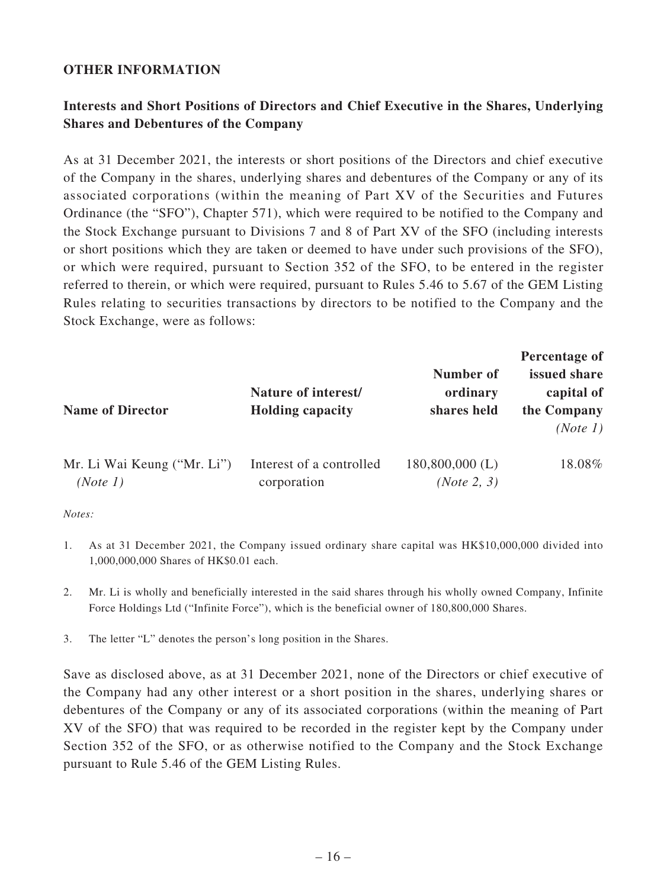### **OTHER INFORMATION**

# **Interests and Short Positions of Directors and Chief Executive in the Shares, Underlying Shares and Debentures of the Company**

As at 31 December 2021, the interests or short positions of the Directors and chief executive of the Company in the shares, underlying shares and debentures of the Company or any of its associated corporations (within the meaning of Part XV of the Securities and Futures Ordinance (the "SFO"), Chapter 571), which were required to be notified to the Company and the Stock Exchange pursuant to Divisions 7 and 8 of Part XV of the SFO (including interests or short positions which they are taken or deemed to have under such provisions of the SFO), or which were required, pursuant to Section 352 of the SFO, to be entered in the register referred to therein, or which were required, pursuant to Rules 5.46 to 5.67 of the GEM Listing Rules relating to securities transactions by directors to be notified to the Company and the Stock Exchange, were as follows:

| <b>Name of Director</b>     | Nature of interest/<br><b>Holding capacity</b> | Number of<br>ordinary<br>shares held | Percentage of<br>issued share<br>capital of<br>the Company<br>(Note 1) |
|-----------------------------|------------------------------------------------|--------------------------------------|------------------------------------------------------------------------|
| Mr. Li Wai Keung ("Mr. Li") | Interest of a controlled                       | $180,800,000$ (L)                    | 18.08%                                                                 |
| (Note 1)                    | corporation                                    | ( <i>Note</i> 2, 3)                  |                                                                        |

*Notes:*

- 1. As at 31 December 2021, the Company issued ordinary share capital was HK\$10,000,000 divided into 1,000,000,000 Shares of HK\$0.01 each.
- 2. Mr. Li is wholly and beneficially interested in the said shares through his wholly owned Company, Infinite Force Holdings Ltd ("Infinite Force"), which is the beneficial owner of 180,800,000 Shares.
- 3. The letter "L" denotes the person's long position in the Shares.

Save as disclosed above, as at 31 December 2021, none of the Directors or chief executive of the Company had any other interest or a short position in the shares, underlying shares or debentures of the Company or any of its associated corporations (within the meaning of Part XV of the SFO) that was required to be recorded in the register kept by the Company under Section 352 of the SFO, or as otherwise notified to the Company and the Stock Exchange pursuant to Rule 5.46 of the GEM Listing Rules.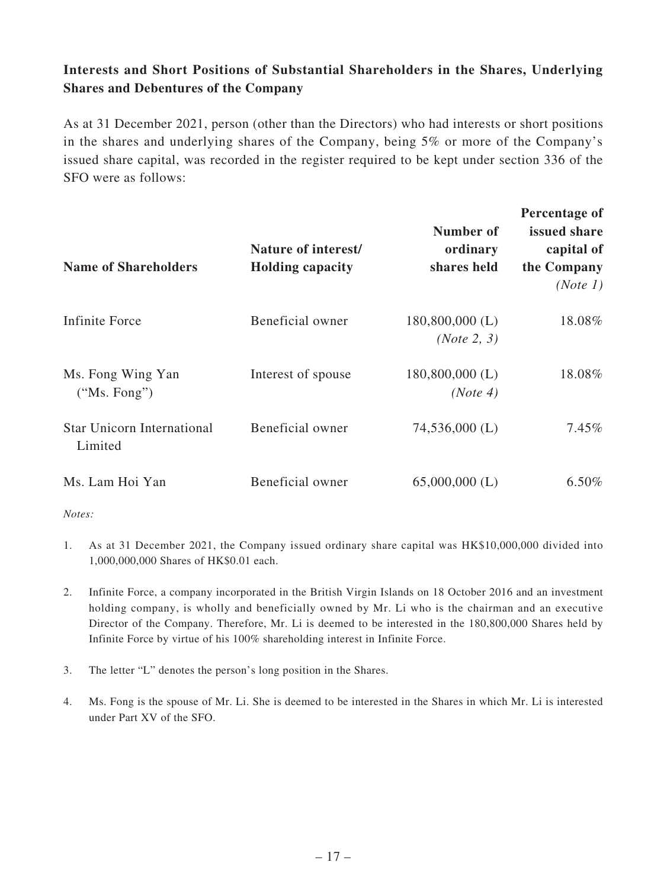# **Interests and Short Positions of Substantial Shareholders in the Shares, Underlying Shares and Debentures of the Company**

As at 31 December 2021, person (other than the Directors) who had interests or short positions in the shares and underlying shares of the Company, being 5% or more of the Company's issued share capital, was recorded in the register required to be kept under section 336 of the SFO were as follows:

| <b>Name of Shareholders</b>                  | Nature of interest/<br><b>Holding capacity</b> | Number of<br>ordinary<br>shares held    | Percentage of<br>issued share<br>capital of<br>the Company<br>(Note 1) |
|----------------------------------------------|------------------------------------------------|-----------------------------------------|------------------------------------------------------------------------|
| Infinite Force                               | Beneficial owner                               | $180,800,000$ (L)<br><i>(Note 2, 3)</i> | 18.08%                                                                 |
| Ms. Fong Wing Yan<br>("Ms. Fong")            | Interest of spouse                             | $180,800,000$ (L)<br>(Note 4)           | 18.08%                                                                 |
| <b>Star Unicorn International</b><br>Limited | Beneficial owner                               | $74,536,000$ (L)                        | $7.45\%$                                                               |
| Ms. Lam Hoi Yan                              | Beneficial owner                               | $65,000,000$ (L)                        | $6.50\%$                                                               |

*Notes:*

- 1. As at 31 December 2021, the Company issued ordinary share capital was HK\$10,000,000 divided into 1,000,000,000 Shares of HK\$0.01 each.
- 2. Infinite Force, a company incorporated in the British Virgin Islands on 18 October 2016 and an investment holding company, is wholly and beneficially owned by Mr. Li who is the chairman and an executive Director of the Company. Therefore, Mr. Li is deemed to be interested in the 180,800,000 Shares held by Infinite Force by virtue of his 100% shareholding interest in Infinite Force.
- 3. The letter "L" denotes the person's long position in the Shares.
- 4. Ms. Fong is the spouse of Mr. Li. She is deemed to be interested in the Shares in which Mr. Li is interested under Part XV of the SFO.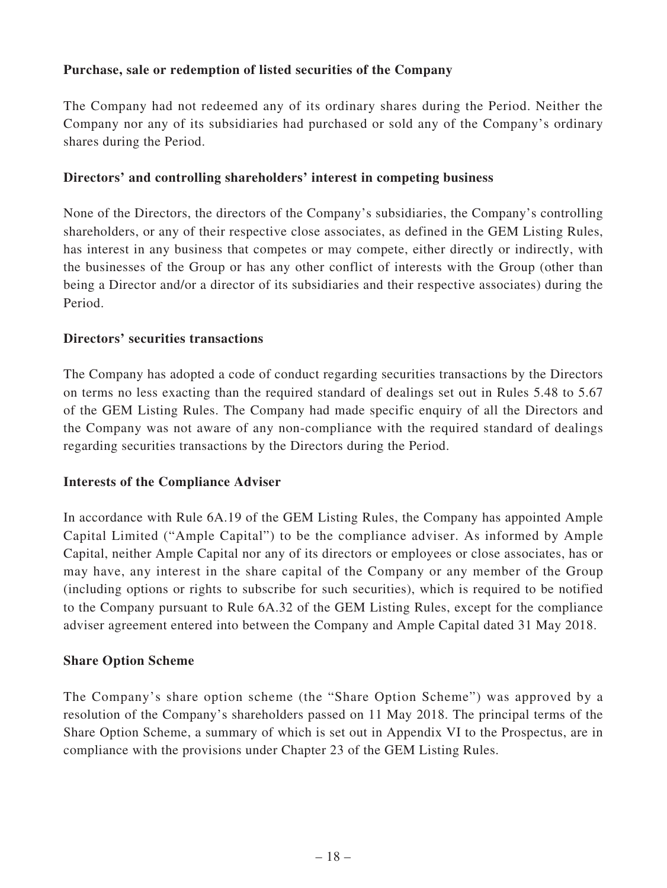## **Purchase, sale or redemption of listed securities of the Company**

The Company had not redeemed any of its ordinary shares during the Period. Neither the Company nor any of its subsidiaries had purchased or sold any of the Company's ordinary shares during the Period.

### **Directors' and controlling shareholders' interest in competing business**

None of the Directors, the directors of the Company's subsidiaries, the Company's controlling shareholders, or any of their respective close associates, as defined in the GEM Listing Rules, has interest in any business that competes or may compete, either directly or indirectly, with the businesses of the Group or has any other conflict of interests with the Group (other than being a Director and/or a director of its subsidiaries and their respective associates) during the Period.

### **Directors' securities transactions**

The Company has adopted a code of conduct regarding securities transactions by the Directors on terms no less exacting than the required standard of dealings set out in Rules 5.48 to 5.67 of the GEM Listing Rules. The Company had made specific enquiry of all the Directors and the Company was not aware of any non-compliance with the required standard of dealings regarding securities transactions by the Directors during the Period.

### **Interests of the Compliance Adviser**

In accordance with Rule 6A.19 of the GEM Listing Rules, the Company has appointed Ample Capital Limited ("Ample Capital") to be the compliance adviser. As informed by Ample Capital, neither Ample Capital nor any of its directors or employees or close associates, has or may have, any interest in the share capital of the Company or any member of the Group (including options or rights to subscribe for such securities), which is required to be notified to the Company pursuant to Rule 6A.32 of the GEM Listing Rules, except for the compliance adviser agreement entered into between the Company and Ample Capital dated 31 May 2018.

### **Share Option Scheme**

The Company's share option scheme (the "Share Option Scheme") was approved by a resolution of the Company's shareholders passed on 11 May 2018. The principal terms of the Share Option Scheme, a summary of which is set out in Appendix VI to the Prospectus, are in compliance with the provisions under Chapter 23 of the GEM Listing Rules.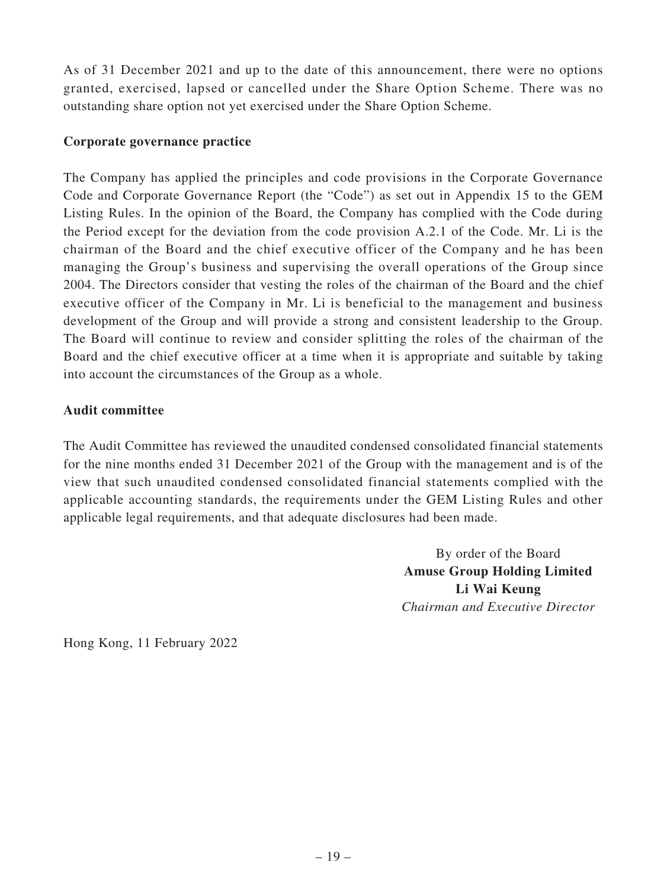As of 31 December 2021 and up to the date of this announcement, there were no options granted, exercised, lapsed or cancelled under the Share Option Scheme. There was no outstanding share option not yet exercised under the Share Option Scheme.

### **Corporate governance practice**

The Company has applied the principles and code provisions in the Corporate Governance Code and Corporate Governance Report (the "Code") as set out in Appendix 15 to the GEM Listing Rules. In the opinion of the Board, the Company has complied with the Code during the Period except for the deviation from the code provision A.2.1 of the Code. Mr. Li is the chairman of the Board and the chief executive officer of the Company and he has been managing the Group's business and supervising the overall operations of the Group since 2004. The Directors consider that vesting the roles of the chairman of the Board and the chief executive officer of the Company in Mr. Li is beneficial to the management and business development of the Group and will provide a strong and consistent leadership to the Group. The Board will continue to review and consider splitting the roles of the chairman of the Board and the chief executive officer at a time when it is appropriate and suitable by taking into account the circumstances of the Group as a whole.

#### **Audit committee**

The Audit Committee has reviewed the unaudited condensed consolidated financial statements for the nine months ended 31 December 2021 of the Group with the management and is of the view that such unaudited condensed consolidated financial statements complied with the applicable accounting standards, the requirements under the GEM Listing Rules and other applicable legal requirements, and that adequate disclosures had been made.

> By order of the Board **Amuse Group Holding Limited Li Wai Keung** *Chairman and Executive Director*

Hong Kong, 11 February 2022